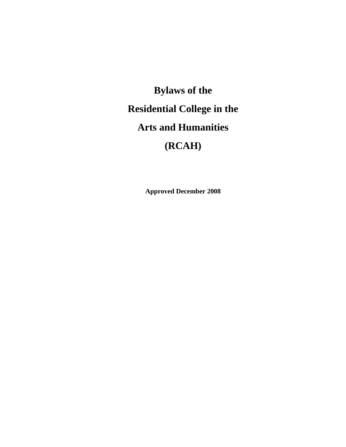**Bylaws of the Residential College in the Arts and Humanities (RCAH)** 

**Approved December 2008**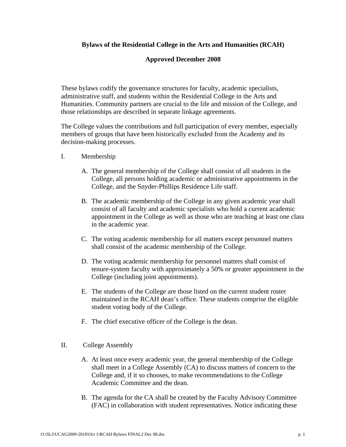# **Bylaws of the Residential College in the Arts and Humanities (RCAH)**

## **Approved December 2008**

These bylaws codify the governance structures for faculty, academic specialists, administrative staff, and students within the Residential College in the Arts and Humanities. Community partners are crucial to the life and mission of the College, and those relationships are described in separate linkage agreements.

The College values the contributions and full participation of every member, especially members of groups that have been historically excluded from the Academy and its decision-making processes.

- I. Membership
	- A. The general membership of the College shall consist of all students in the College, all persons holding academic or administrative appointments in the College, and the Snyder-Phillips Residence Life staff.
	- B. The academic membership of the College in any given academic year shall consist of all faculty and academic specialists who hold a current academic appointment in the College as well as those who are teaching at least one class in the academic year.
	- C. The voting academic membership for all matters except personnel matters shall consist of the academic membership of the College.
	- D. The voting academic membership for personnel matters shall consist of tenure-system faculty with approximately a 50% or greater appointment in the College (including joint appointments).
	- E. The students of the College are those listed on the current student roster maintained in the RCAH dean's office. These students comprise the eligible student voting body of the College.
	- F. The chief executive officer of the College is the dean.
- II. College Assembly
	- A. At least once every academic year, the general membership of the College shall meet in a College Assembly (CA) to discuss matters of concern to the College and, if it so chooses, to make recommendations to the College Academic Committee and the dean.
	- B. The agenda for the CA shall be created by the Faculty Advisory Committee (FAC) in collaboration with student representatives. Notice indicating these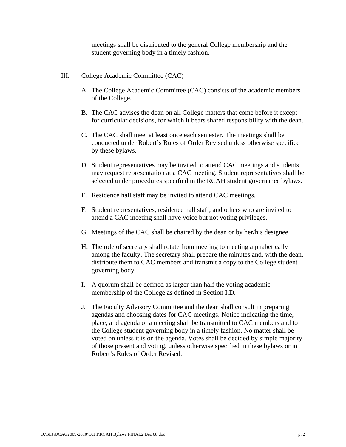meetings shall be distributed to the general College membership and the student governing body in a timely fashion.

- III. College Academic Committee (CAC)
	- A. The College Academic Committee (CAC) consists of the academic members of the College.
	- B. The CAC advises the dean on all College matters that come before it except for curricular decisions, for which it bears shared responsibility with the dean.
	- C. The CAC shall meet at least once each semester. The meetings shall be conducted under Robert's Rules of Order Revised unless otherwise specified by these bylaws.
	- D. Student representatives may be invited to attend CAC meetings and students may request representation at a CAC meeting. Student representatives shall be selected under procedures specified in the RCAH student governance bylaws.
	- E. Residence hall staff may be invited to attend CAC meetings.
	- F. Student representatives, residence hall staff, and others who are invited to attend a CAC meeting shall have voice but not voting privileges.
	- G. Meetings of the CAC shall be chaired by the dean or by her/his designee.
	- H. The role of secretary shall rotate from meeting to meeting alphabetically among the faculty. The secretary shall prepare the minutes and, with the dean, distribute them to CAC members and transmit a copy to the College student governing body.
	- I. A quorum shall be defined as larger than half the voting academic membership of the College as defined in Section I.D.
	- J. The Faculty Advisory Committee and the dean shall consult in preparing agendas and choosing dates for CAC meetings. Notice indicating the time, place, and agenda of a meeting shall be transmitted to CAC members and to the College student governing body in a timely fashion. No matter shall be voted on unless it is on the agenda. Votes shall be decided by simple majority of those present and voting, unless otherwise specified in these bylaws or in Robert's Rules of Order Revised.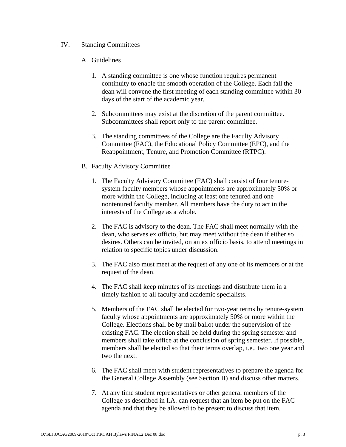## IV. Standing Committees

# A. Guidelines

- 1. A standing committee is one whose function requires permanent continuity to enable the smooth operation of the College. Each fall the dean will convene the first meeting of each standing committee within 30 days of the start of the academic year.
- 2. Subcommittees may exist at the discretion of the parent committee. Subcommittees shall report only to the parent committee.
- 3. The standing committees of the College are the Faculty Advisory Committee (FAC), the Educational Policy Committee (EPC), and the Reappointment, Tenure, and Promotion Committee (RTPC).
- B. Faculty Advisory Committee
	- 1. The Faculty Advisory Committee (FAC) shall consist of four tenuresystem faculty members whose appointments are approximately 50% or more within the College, including at least one tenured and one nontenured faculty member. All members have the duty to act in the interests of the College as a whole.
	- 2. The FAC is advisory to the dean. The FAC shall meet normally with the dean, who serves ex officio, but may meet without the dean if either so desires. Others can be invited, on an ex officio basis, to attend meetings in relation to specific topics under discussion.
	- 3. The FAC also must meet at the request of any one of its members or at the request of the dean.
	- 4. The FAC shall keep minutes of its meetings and distribute them in a timely fashion to all faculty and academic specialists.
	- 5. Members of the FAC shall be elected for two-year terms by tenure-system faculty whose appointments are approximately 50% or more within the College. Elections shall be by mail ballot under the supervision of the existing FAC. The election shall be held during the spring semester and members shall take office at the conclusion of spring semester. If possible, members shall be elected so that their terms overlap, i.e., two one year and two the next.
	- 6. The FAC shall meet with student representatives to prepare the agenda for the General College Assembly (see Section II) and discuss other matters.
	- 7. At any time student representatives or other general members of the College as described in I.A. can request that an item be put on the FAC agenda and that they be allowed to be present to discuss that item.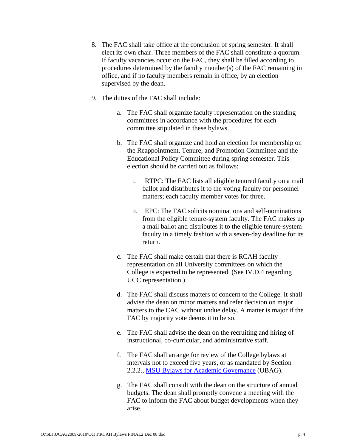- 8. The FAC shall take office at the conclusion of spring semester. It shall elect its own chair. Three members of the FAC shall constitute a quorum. If faculty vacancies occur on the FAC, they shall be filled according to procedures determined by the faculty member(s) of the FAC remaining in office, and if no faculty members remain in office, by an election supervised by the dean.
- 9. The duties of the FAC shall include:
	- a. The FAC shall organize faculty representation on the standing committees in accordance with the procedures for each committee stipulated in these bylaws.
	- b. The FAC shall organize and hold an election for membership on the Reappointment, Tenure, and Promotion Committee and the Educational Policy Committee during spring semester. This election should be carried out as follows:
		- i. RTPC: The FAC lists all eligible tenured faculty on a mail ballot and distributes it to the voting faculty for personnel matters; each faculty member votes for three.
		- ii. EPC: The FAC solicits nominations and self-nominations from the eligible tenure-system faculty. The FAC makes up a mail ballot and distributes it to the eligible tenure-system faculty in a timely fashion with a seven-day deadline for its return.
	- c. The FAC shall make certain that there is RCAH faculty representation on all University committees on which the College is expected to be represented. (See IV.D.4 regarding UCC representation.)
	- d. The FAC shall discuss matters of concern to the College. It shall advise the dean on minor matters and refer decision on major matters to the CAC without undue delay. A matter is major if the FAC by majority vote deems it to be so.
	- e. The FAC shall advise the dean on the recruiting and hiring of instructional, co-curricular, and administrative staff.
	- f. The FAC shall arrange for review of the College bylaws at intervals not to exceed five years, or as mandated by Section 2.2.2., MSU Bylaws for Academic Governance (UBAG).
	- g. The FAC shall consult with the dean on the structure of annual budgets. The dean shall promptly convene a meeting with the FAC to inform the FAC about budget developments when they arise.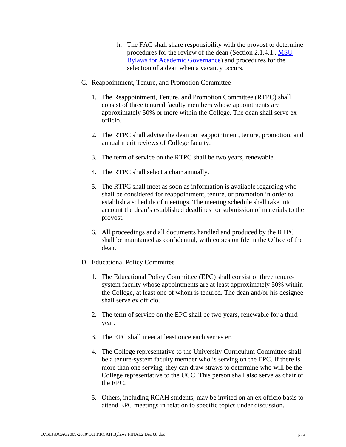- h. The FAC shall share responsibility with the provost to determine procedures for the review of the dean (Section 2.1.4.1., MSU Bylaws for Academic Governance) and procedures for the selection of a dean when a vacancy occurs.
- C. Reappointment, Tenure, and Promotion Committee
	- 1. The Reappointment, Tenure, and Promotion Committee (RTPC) shall consist of three tenured faculty members whose appointments are approximately 50% or more within the College. The dean shall serve ex officio.
	- 2. The RTPC shall advise the dean on reappointment, tenure, promotion, and annual merit reviews of College faculty.
	- 3. The term of service on the RTPC shall be two years, renewable.
	- 4. The RTPC shall select a chair annually.
	- 5. The RTPC shall meet as soon as information is available regarding who shall be considered for reappointment, tenure, or promotion in order to establish a schedule of meetings. The meeting schedule shall take into account the dean's established deadlines for submission of materials to the provost.
	- 6. All proceedings and all documents handled and produced by the RTPC shall be maintained as confidential, with copies on file in the Office of the dean.
- D. Educational Policy Committee
	- 1. The Educational Policy Committee (EPC) shall consist of three tenuresystem faculty whose appointments are at least approximately 50% within the College, at least one of whom is tenured. The dean and/or his designee shall serve ex officio.
	- 2. The term of service on the EPC shall be two years, renewable for a third year.
	- 3. The EPC shall meet at least once each semester.
	- 4. The College representative to the University Curriculum Committee shall be a tenure-system faculty member who is serving on the EPC. If there is more than one serving, they can draw straws to determine who will be the College representative to the UCC. This person shall also serve as chair of the EPC.
	- 5. Others, including RCAH students, may be invited on an ex officio basis to attend EPC meetings in relation to specific topics under discussion.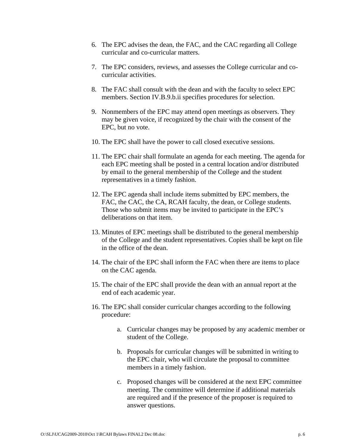- 6. The EPC advises the dean, the FAC, and the CAC regarding all College curricular and co-curricular matters.
- 7. The EPC considers, reviews, and assesses the College curricular and cocurricular activities.
- 8. The FAC shall consult with the dean and with the faculty to select EPC members. Section IV.B.9.b.ii specifies procedures for selection.
- 9. Nonmembers of the EPC may attend open meetings as observers. They may be given voice, if recognized by the chair with the consent of the EPC, but no vote.
- 10. The EPC shall have the power to call closed executive sessions.
- 11. The EPC chair shall formulate an agenda for each meeting. The agenda for each EPC meeting shall be posted in a central location and/or distributed by email to the general membership of the College and the student representatives in a timely fashion.
- 12. The EPC agenda shall include items submitted by EPC members, the FAC, the CAC, the CA, RCAH faculty, the dean, or College students. Those who submit items may be invited to participate in the EPC's deliberations on that item.
- 13. Minutes of EPC meetings shall be distributed to the general membership of the College and the student representatives. Copies shall be kept on file in the office of the dean.
- 14. The chair of the EPC shall inform the FAC when there are items to place on the CAC agenda.
- 15. The chair of the EPC shall provide the dean with an annual report at the end of each academic year.
- 16. The EPC shall consider curricular changes according to the following procedure:
	- a. Curricular changes may be proposed by any academic member or student of the College.
	- b. Proposals for curricular changes will be submitted in writing to the EPC chair, who will circulate the proposal to committee members in a timely fashion.
	- c. Proposed changes will be considered at the next EPC committee meeting. The committee will determine if additional materials are required and if the presence of the proposer is required to answer questions.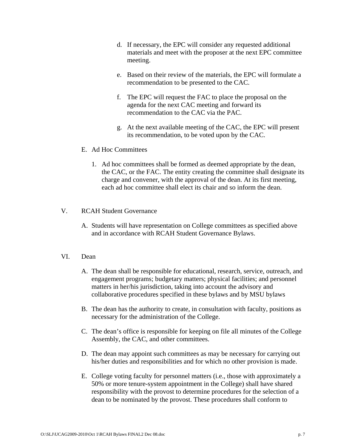- d. If necessary, the EPC will consider any requested additional materials and meet with the proposer at the next EPC committee meeting.
- e. Based on their review of the materials, the EPC will formulate a recommendation to be presented to the CAC.
- f. The EPC will request the FAC to place the proposal on the agenda for the next CAC meeting and forward its recommendation to the CAC via the PAC.
- g. At the next available meeting of the CAC, the EPC will present its recommendation, to be voted upon by the CAC.

#### E. Ad Hoc Committees

1. Ad hoc committees shall be formed as deemed appropriate by the dean, the CAC, or the FAC. The entity creating the committee shall designate its charge and convener, with the approval of the dean. At its first meeting, each ad hoc committee shall elect its chair and so inform the dean.

### V. RCAH Student Governance

A. Students will have representation on College committees as specified above and in accordance with RCAH Student Governance Bylaws.

#### VI. Dean

- A. The dean shall be responsible for educational, research, service, outreach, and engagement programs; budgetary matters; physical facilities; and personnel matters in her/his jurisdiction, taking into account the advisory and collaborative procedures specified in these bylaws and by MSU bylaws
- B. The dean has the authority to create, in consultation with faculty, positions as necessary for the administration of the College.
- C. The dean's office is responsible for keeping on file all minutes of the College Assembly, the CAC, and other committees.
- D. The dean may appoint such committees as may be necessary for carrying out his/her duties and responsibilities and for which no other provision is made.
- E. College voting faculty for personnel matters (i.e., those with approximately a 50% or more tenure-system appointment in the College) shall have shared responsibility with the provost to determine procedures for the selection of a dean to be nominated by the provost. These procedures shall conform to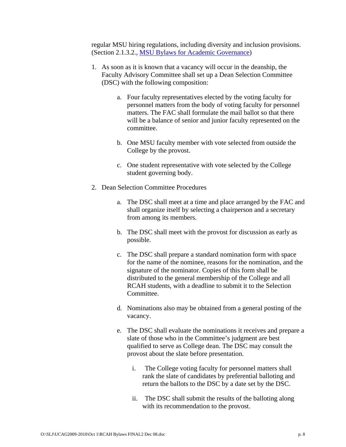regular MSU hiring regulations, including diversity and inclusion provisions. (Section 2.1.3.2., MSU Bylaws for Academic Governance)

- 1. As soon as it is known that a vacancy will occur in the deanship, the Faculty Advisory Committee shall set up a Dean Selection Committee (DSC) with the following composition:
	- a. Four faculty representatives elected by the voting faculty for personnel matters from the body of voting faculty for personnel matters. The FAC shall formulate the mail ballot so that there will be a balance of senior and junior faculty represented on the committee.
	- b. One MSU faculty member with vote selected from outside the College by the provost.
	- c. One student representative with vote selected by the College student governing body.
- 2. Dean Selection Committee Procedures
	- a. The DSC shall meet at a time and place arranged by the FAC and shall organize itself by selecting a chairperson and a secretary from among its members.
	- b. The DSC shall meet with the provost for discussion as early as possible.
	- c. The DSC shall prepare a standard nomination form with space for the name of the nominee, reasons for the nomination, and the signature of the nominator. Copies of this form shall be distributed to the general membership of the College and all RCAH students, with a deadline to submit it to the Selection Committee.
	- d. Nominations also may be obtained from a general posting of the vacancy.
	- e. The DSC shall evaluate the nominations it receives and prepare a slate of those who in the Committee's judgment are best qualified to serve as College dean. The DSC may consult the provost about the slate before presentation.
		- i. The College voting faculty for personnel matters shall rank the slate of candidates by preferential balloting and return the ballots to the DSC by a date set by the DSC.
		- ii. The DSC shall submit the results of the balloting along with its recommendation to the provost.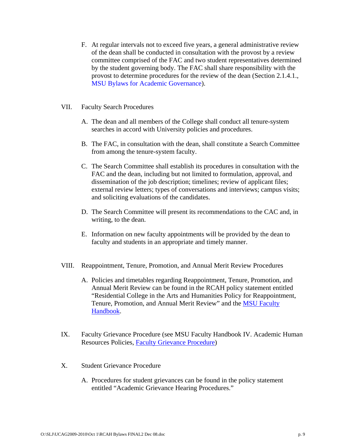- F. At regular intervals not to exceed five years, a general administrative review of the dean shall be conducted in consultation with the provost by a review committee comprised of the FAC and two student representatives determined by the student governing body. The FAC shall share responsibility with the provost to determine procedures for the review of the dean (Section 2.1.4.1., MSU Bylaws for Academic Governance).
- VII. Faculty Search Procedures
	- A. The dean and all members of the College shall conduct all tenure-system searches in accord with University policies and procedures.
	- B. The FAC, in consultation with the dean, shall constitute a Search Committee from among the tenure-system faculty.
	- C. The Search Committee shall establish its procedures in consultation with the FAC and the dean, including but not limited to formulation, approval, and dissemination of the job description; timelines; review of applicant files; external review letters; types of conversations and interviews; campus visits; and soliciting evaluations of the candidates.
	- D. The Search Committee will present its recommendations to the CAC and, in writing, to the dean.
	- E. Information on new faculty appointments will be provided by the dean to faculty and students in an appropriate and timely manner.
- VIII. Reappointment, Tenure, Promotion, and Annual Merit Review Procedures
	- A. Policies and timetables regarding Reappointment, Tenure, Promotion, and Annual Merit Review can be found in the RCAH policy statement entitled "Residential College in the Arts and Humanities Policy for Reappointment, Tenure, Promotion, and Annual Merit Review" and the **MSU Faculty** Handbook.
- IX. Faculty Grievance Procedure (see MSU Faculty Handbook IV. Academic Human Resources Policies, Faculty Grievance Procedure)
- X. Student Grievance Procedure
	- A. Procedures for student grievances can be found in the policy statement entitled "Academic Grievance Hearing Procedures."